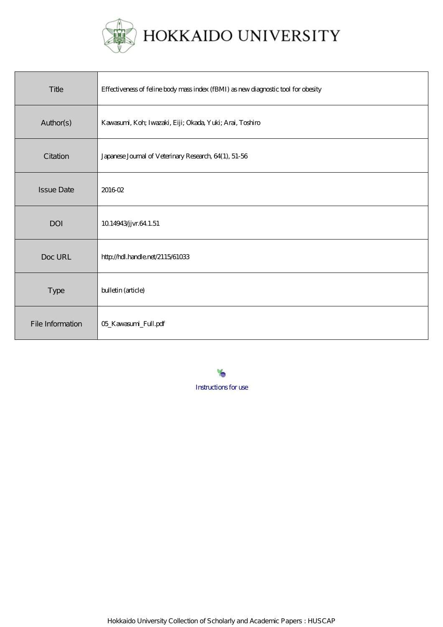

HOKKAIDO UNIVERSITY

| Title             | Effectiveness of feline body mass index (fBMI) as new diagnostic tool for obesity |
|-------------------|-----------------------------------------------------------------------------------|
| Author(s)         | Kawasumi, Koh; Iwazaki, Eiji; Okada, Yuki; Arai, Toshiro                          |
| Citation          | Japanese Journal of Veterinary Research, 64(1), 51-56                             |
| <b>Issue Date</b> | 201602                                                                            |
| <b>DOI</b>        | 10.14943/jvr.64.1.51                                                              |
| Doc URL           | http://hdl.handle.net/2115/61033                                                  |
| Type              | bulletin (article)                                                                |
| File Information  | 05_Kawasumi_Full.pdf                                                              |

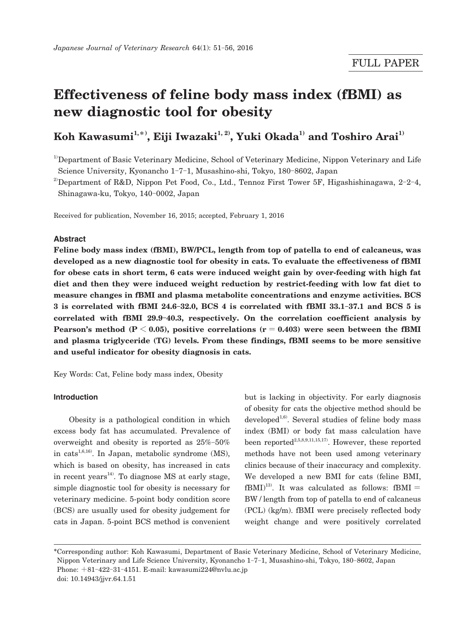# **Effectiveness of feline body mass index (fBMI) as new diagnostic tool for obesity**

## $\mathbf{Koh\; Kawasumi}^{1,\ast\ast},\mathbf{Eiji\;Iwazaki}^{1,\,2)},\mathbf{Yuki\;Okada}^{1}\; \mathbf{and}\; \mathbf{Toshire\; Arai}^{1)}$

<sup>1)</sup>Department of Basic Veterinary Medicine, School of Veterinary Medicine, Nippon Veterinary and Life Science University, Kyonancho 1-7-1, Musashino-shi, Tokyo, 180-8602, Japan

<sup>2)</sup>Department of R&D, Nippon Pet Food, Co., Ltd., Tennoz First Tower 5F, Higashishinagawa, 2-2-4, Shinagawa-ku, Tokyo, 140-0002, Japan

Received for publication, November 16, 2015; accepted, February 1, 2016

#### **Abstract**

**Feline body mass index (fBMI), BW/PCL, length from top of patella to end of calcaneus, was developed as a new diagnostic tool for obesity in cats. To evaluate the effectiveness of fBMI for obese cats in short term, 6 cats were induced weight gain by over-feeding with high fat diet and then they were induced weight reduction by restrict-feeding with low fat diet to measure changes in fBMI and plasma metabolite concentrations and enzyme activities. BCS 3 is correlated with fBMI 24.6**-**32.0, BCS 4 is correlated with fBMI 33.1**-**37.1 and BCS 5 is correlated with fBMI 29.9**-**40.3, respectively. On the correlation coefficient analysis by Pearson's method (** $P < 0.05$ **), positive correlations (** $r = 0.403$ **) were seen between the fBMI and plasma triglyceride (TG) levels. From these findings, fBMI seems to be more sensitive and useful indicator for obesity diagnosis in cats.**

Key Words: Cat, Feline body mass index, Obesity

#### **Introduction**

 Obesity is a pathological condition in which excess body fat has accumulated. Prevalence of overweight and obesity is reported as 25%-50% in cats<sup>1,6,16</sup>. In Japan, metabolic syndrome  $(MS)$ , which is based on obesity, has increased in cats in recent years<sup>14)</sup>. To diagnose MS at early stage, simple diagnostic tool for obesity is necessary for veterinary medicine. 5-point body condition score (BCS) are usually used for obesity judgement for cats in Japan. 5-point BCS method is convenient

but is lacking in objectivity. For early diagnosis of obesity for cats the objective method should be developed<sup>1,6)</sup>. Several studies of feline body mass index (BMI) or body fat mass calculation have been reported<sup>2,5,8,9,11,15,17</sup>. However, these reported methods have not been used among veterinary clinics because of their inaccuracy and complexity. We developed a new BMI for cats (feline BMI,  $fBMI$ <sup>13)</sup>. It was calculated as follows:  $fBMI =$ BW / length from top of patella to end of calcaneus (PCL) (kg/m). fBMI were precisely reflected body weight change and were positively correlated

<sup>\*</sup>Corresponding author: Koh Kawasumi, Department of Basic Veterinary Medicine, School of Veterinary Medicine, Nippon Veterinary and Life Science University, Kyonancho 1-7-1, Musashino-shi, Tokyo, 180-8602, Japan Phone: +81-422-31-4151. E-mail: kawasumi224@nvlu.ac.jp doi: 10.14943/jjvr.64.1.51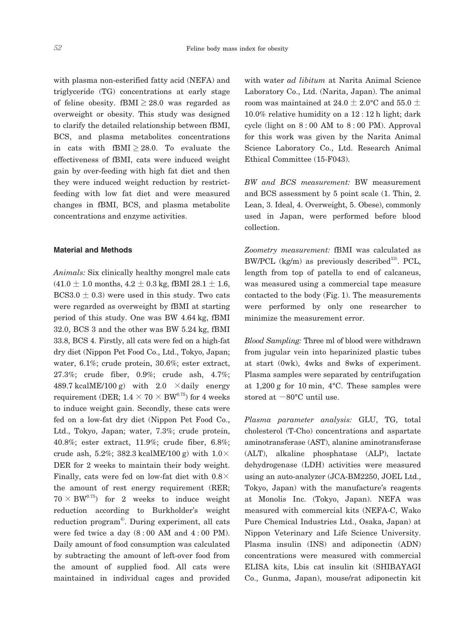with plasma non-esterified fatty acid (NEFA) and triglyceride (TG) concentrations at early stage of feline obesity. fBMI  $\geq$  28.0 was regarded as overweight or obesity. This study was designed to clarify the detailed relationship between fBMI, BCS, and plasma metabolites concentrations in cats with fBMI  $\geq$  28.0. To evaluate the effectiveness of fBMI, cats were induced weight gain by over-feeding with high fat diet and then they were induced weight reduction by restrictfeeding with low fat diet and were measured changes in fBMI, BCS, and plasma metabolite concentrations and enzyme activities.

#### **Material and Methods**

*Animals:* Six clinically healthy mongrel male cats  $(41.0 \pm 1.0 \text{ months}, 4.2 \pm 0.3 \text{ kg}, \text{fBMI } 28.1 \pm 1.6,$  $BCS3.0 \pm 0.3$ ) were used in this study. Two cats were regarded as overweight by fBMI at starting period of this study. One was BW 4.64 kg, fBMI 32.0, BCS 3 and the other was BW 5.24 kg, fBMI 33.8, BCS 4. Firstly, all cats were fed on a high-fat dry diet (Nippon Pet Food Co., Ltd., Tokyo, Japan; water, 6.1%; crude protein, 30.6%; ester extract, 27.3%; crude fiber, 0.9%; crude ash, 4.7%; 489.7 kcalME/100 g) with 2.0  $\times$  daily energy requirement (DER;  $1.4 \times 70 \times BW^{0.75}$ ) for 4 weeks to induce weight gain. Secondly, these cats were fed on a low-fat dry diet (Nippon Pet Food Co., Ltd., Tokyo, Japan; water, 7.3%; crude protein, 40.8%; ester extract, 11.9%; crude fiber, 6.8%; crude ash, 5.2%; 382.3 kcalME/100 g) with  $1.0 \times$ DER for 2 weeks to maintain their body weight. Finally, cats were fed on low-fat diet with  $0.8\times$ the amount of rest energy requirement (RER;  $70 \times BW^{0.75}$  for 2 weeks to induce weight reduction according to Burkholder's weight  $reduction program<sup>4</sup>$ . During experiment, all cats were fed twice a day  $(8:00 \text{ AM}$  and  $4:00 \text{ PM})$ . Daily amount of food consumption was calculated by subtracting the amount of left-over food from the amount of supplied food. All cats were maintained in individual cages and provided

with water *ad libitum* at Narita Animal Science Laboratory Co., Ltd. (Narita, Japan). The animal room was maintained at 24.0  $\pm$  2.0°C and 55.0  $\pm$ 10.0% relative humidity on a 12 : 12 h light; dark cycle (light on  $8:00$  AM to  $8:00$  PM). Approval for this work was given by the Narita Animal Science Laboratory Co., Ltd. Research Animal Ethical Committee (15-F043).

*BW and BCS measurement:* BW measurement and BCS assessment by 5 point scale (1. Thin, 2. Lean, 3. Ideal, 4. Overweight, 5. Obese), commonly used in Japan, were performed before blood collection.

*Zoometry measurement:* fBMI was calculated as BW/PCL (kg/m) as previously described<sup>13)</sup>. PCL, length from top of patella to end of calcaneus, was measured using a commercial tape measure contacted to the body (Fig. 1). The measurements were performed by only one researcher to minimize the measurement error.

*Blood Sampling:* Three ml of blood were withdrawn from jugular vein into heparinized plastic tubes at start (0wk), 4wks and 8wks of experiment. Plasma samples were separated by centrifugation at 1,200 g for 10 min, 4°C. These samples were stored at  $-80^{\circ}$ C until use.

*Plasma parameter analysis:* GLU, TG, total cholesterol (T-Cho) concentrations and aspartate aminotransferase (AST), alanine aminotransferase (ALT), alkaline phosphatase (ALP), lactate dehydrogenase (LDH) activities were measured using an auto-analyzer (JCA-BM2250, JOEL Ltd., Tokyo, Japan) with the manufacture's reagents at Monolis Inc. (Tokyo, Japan). NEFA was measured with commercial kits (NEFA-C, Wako Pure Chemical Industries Ltd., Osaka, Japan) at Nippon Veterinary and Life Science University. Plasma insulin (INS) and adiponectin (ADN) concentrations were measured with commercial ELISA kits, Lbis cat insulin kit (SHIBAYAGI Co., Gunma, Japan), mouse/rat adiponectin kit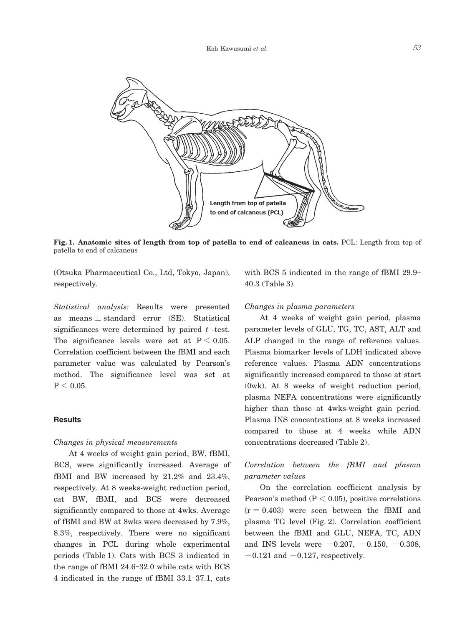

**Fig. 1. Anatomic sites of length from top of patella to end of calcaneus in cats.** PCL: Length from top of patella to end of calcaneus

(Otsuka Pharmaceutical Co., Ltd, Tokyo, Japan), respectively.

*Statistical analysis:* Results were presented as means  $\pm$  standard error (SE). Statistical significances were determined by paired *t* -test. The significance levels were set at  $P < 0.05$ . Correlation coefficient between the fBMI and each parameter value was calculated by Pearson's method. The significance level was set at  $P < 0.05$ .

#### **Results**

#### *Changes in physical measurements*

 At 4 weeks of weight gain period, BW, fBMI, BCS, were significantly increased. Average of fBMI and BW increased by 21.2% and 23.4%, respectively. At 8 weeks-weight reduction period, cat BW, fBMI, and BCS were decreased significantly compared to those at 4wks. Average of fBMI and BW at 8wks were decreased by 7.9%, 8.3%, respectively. There were no significant changes in PCL during whole experimental periods (Table 1). Cats with BCS 3 indicated in the range of fBMI 24.6-32.0 while cats with BCS 4 indicated in the range of fBMI 33.1-37.1, cats

with BCS 5 indicated in the range of fBMI 29.9- 40.3 (Table 3).

#### *Changes in plasma parameters*

 At 4 weeks of weight gain period, plasma parameter levels of GLU, TG, TC, AST, ALT and ALP changed in the range of reference values. Plasma biomarker levels of LDH indicated above reference values. Plasma ADN concentrations significantly increased compared to those at start (0wk). At 8 weeks of weight reduction period, plasma NEFA concentrations were significantly higher than those at 4wks-weight gain period. Plasma INS concentrations at 8 weeks increased compared to those at 4 weeks while ADN concentrations decreased (Table 2).

### *Correlation between the fBMI and plasma parameter values*

 On the correlation coefficient analysis by Pearson's method ( $P < 0.05$ ), positive correlations  $(r = 0.403)$  were seen between the fBMI and plasma TG level (Fig. 2). Correlation coefficient between the fBMI and GLU, NEFA, TC, ADN and INS levels were  $-0.207, -0.150, -0.308,$  $-0.121$  and  $-0.127$ , respectively.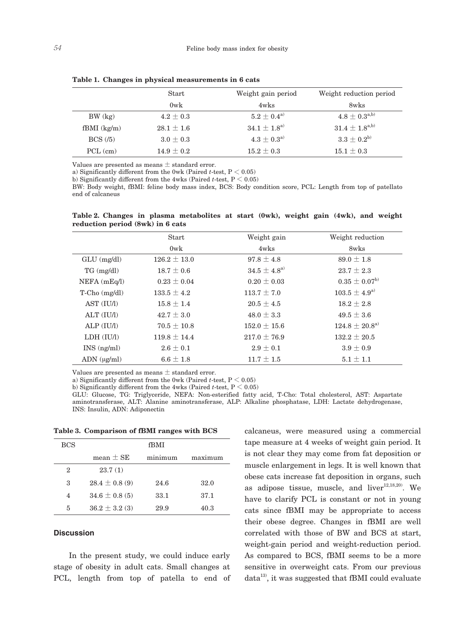|                  | Start          | Weight gain period     | Weight reduction period   |
|------------------|----------------|------------------------|---------------------------|
|                  | $0$ w $k$      | $4w$ ks                | 8wks                      |
| $BW$ $(kg)$      | $4.2 \pm 0.3$  | $5.2\pm0.4^{\rm a)}$   | $4.8\pm0.3^{\rm a,b)}$    |
| $f$ BMI $(kg/m)$ | $28.1 \pm 1.6$ | $34.1 \pm 1.8^{\rm a}$ | $31.4 \pm 1.8^{\rm a,b)}$ |
| $BCS$ (/5)       | $3.0 \pm 0.3$  | $4.3\pm0.3^{\rm a)}$   | $3.3 \pm 0.2^{6}$         |
| $PCL$ (cm)       | $14.9 \pm 0.2$ | $15.2 \pm 0.3$         | $15.1 \pm 0.3$            |

**Table 1. Changes in physical measurements in 6 cats**

Values are presented as means  $\pm$  standard error.

a) Significantly different from the 0wk (Paired *t*-test,  $P \le 0.05$ )

b) Significantly different from the 4wks (Paired *t*-test, P < 0.05)

BW: Body weight, fBMI: feline body mass index, BCS: Body condition score, PCL: Length from top of patellato end of calcaneus

**Table 2. Changes in plasma metabolites at start (0wk), weight gain (4wk), and weight reduction period (8wk) in 6 cats**

|                      | <b>Start</b>     | Weight gain            | Weight reduction            |
|----------------------|------------------|------------------------|-----------------------------|
|                      | $0$ w $k$        | $4w$ ks                | 8wks                        |
| $GLU$ (mg/dl)        | $126.2 \pm 13.0$ | $97.8 \pm 4.8$         | $89.0 \pm 1.8$              |
| $TG \, (mg/dl)$      | $18.7 \pm 0.6$   | $34.5 \pm 4.8^{\rm a}$ | $23.7 \pm 2.3$              |
| $NEFA$ (mEq $\eta$ ) | $0.23 \pm 0.04$  | $0.20 \pm 0.03$        | $0.35 \pm 0.07^{6}$         |
| $T-Cho$ (mg/dl)      | $133.5 \pm 4.2$  | $113.7 \pm 7.0$        | $103.5 \pm 4.9^{a}$         |
| AST (IU/I)           | $15.8 \pm 1.4$   | $20.5 \pm 4.5$         | $18.2 \pm 2.8$              |
| ALT (IU/I)           | $42.7 \pm 3.0$   | $48.0 \pm 3.3$         | $49.5 \pm 3.6$              |
| ALP (IU/I)           | $70.5 \pm 10.8$  | $152.0 \pm 15.6$       | $124.8 \pm 20.8^{\text{a}}$ |
| LDH (IU/I)           | $119.8 \pm 14.4$ | $217.0 \pm 76.9$       | $132.2 \pm 20.5$            |
| $INS$ (ng/ml)        | $2.6 \pm 0.1$    | $2.9 \pm 0.1$          | $3.9 \pm 0.9$               |
| $ADN$ ( $\mu$ g/ml)  | $6.6 \pm 1.8$    | $11.7 \pm 1.5$         | $5.1 \pm 1.1$               |

Values are presented as means ± standard error.

a) Significantly different from the 0wk (Paired *t*-test,  $P \le 0.05$ )

b) Significantly different from the 4wks (Paired *t*-test,  $P < 0.05$ )

GLU: Glucose, TG: Triglyceride, NEFA: Non-esterified fatty acid, T-Cho: Total cholesterol, AST: Aspartate aminotransferase, ALT: Alanine aminotransferase, ALP: Alkaline phosphatase, LDH: Lactate dehydrogenase, INS: Insulin, ADN: Adiponectin

**Table 3. Comparison of fBMI ranges with BCS**

| <b>BCS</b> | fBMI               |         |         |
|------------|--------------------|---------|---------|
|            | mean $\pm$ SE      | minimum | maximum |
| 2          | 23.7(1)            |         |         |
| 3          | $28.4 \pm 0.8$ (9) | 24.6    | 32.0    |
| 4          | $34.6 \pm 0.8$ (5) | 33.1    | 37.1    |
| 5          | $36.2 \pm 3.2$ (3) | 29.9    | 40.3    |

#### **Discussion**

 In the present study, we could induce early stage of obesity in adult cats. Small changes at PCL, length from top of patella to end of calcaneus, were measured using a commercial tape measure at 4 weeks of weight gain period. It is not clear they may come from fat deposition or muscle enlargement in legs. It is well known that obese cats increase fat deposition in organs, such as adipose tissue, muscle, and liver $12,18,20$ . We have to clarify PCL is constant or not in young cats since fBMI may be appropriate to access their obese degree. Changes in fBMI are well correlated with those of BW and BCS at start, weight-gain period and weight-reduction period. As compared to BCS, fBMI seems to be a more sensitive in overweight cats. From our previous  $data^{13}$ , it was suggested that fBMI could evaluate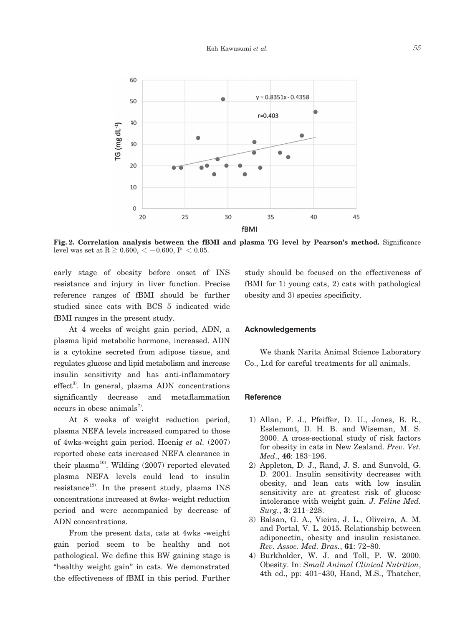

**Fig. 2. Correlation analysis between the fBMI and plasma TG level by Pearson's method.** Significance level was set at  $R \ge 0.600, \, \lt -0.600, \, P \le 0.05.$ 

early stage of obesity before onset of INS resistance and injury in liver function. Precise reference ranges of fBMI should be further studied since cats with BCS 5 indicated wide fBMI ranges in the present study.

 At 4 weeks of weight gain period, ADN, a plasma lipid metabolic hormone, increased. ADN is a cytokine secreted from adipose tissue, and regulates glucose and lipid metabolism and increase insulin sensitivity and has anti-inflammatory  $effect<sup>3</sup>$ . In general, plasma ADN concentrations significantly decrease and metaflammation occurs in obese animals<sup>7</sup>.

 At 8 weeks of weight reduction period, plasma NEFA levels increased compared to those of 4wks-weight gain period. Hoenig *et al.* (2007) reported obese cats increased NEFA clearance in their plasma<sup>10</sup>. Wilding  $(2007)$  reported elevated plasma NEFA levels could lead to insulin resistance<sup>19)</sup>. In the present study, plasma INS concentrations increased at 8wks- weight reduction period and were accompanied by decrease of ADN concentrations.

 From the present data, cats at 4wks -weight gain period seem to be healthy and not pathological. We define this BW gaining stage is "healthy weight gain" in cats. We demonstrated the effectiveness of fBMI in this period. Further study should be focused on the effectiveness of fBMI for 1) young cats, 2) cats with pathological obesity and 3) species specificity.

#### **Acknowledgements**

 We thank Narita Animal Science Laboratory Co., Ltd for careful treatments for all animals.

#### **Reference**

- 1) Allan, F. J., Pfeiffer, D. U., Jones, B. R., Esslemont, D. H. B. and Wiseman, M. S. 2000. A cross-sectional study of risk factors for obesity in cats in New Zealand. *Prev. Vet. Med*., **46**: 183-196.
- 2) Appleton, D. J., Rand, J. S. and Sunvold, G. D. 2001. Insulin sensitivity decreases with obesity, and lean cats with low insulin sensitivity are at greatest risk of glucose intolerance with weight gain. *J. Feline Med. Surg.*, **3**: 211-228.
- 3) Balsan, G. A., Vieira, J. L., Oliveira, A. M. and Portal, V. L. 2015. Relationship between adiponectin, obesity and insulin resistance. *Rev. Assoc. Med. Bras.*, **61**: 72-80.
- 4) Burkholder, W. J. and Toll, P. W. 2000. Obesity. In: *Small Animal Clinical Nutrition*, 4th ed., pp: 401-430, Hand, M.S., Thatcher,